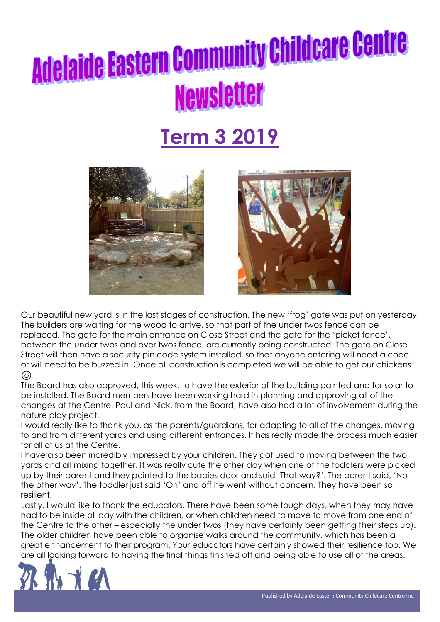### **Term 3 2019**





Our beautiful new yard is in the last stages of construction. The new 'frog' gate was put on yesterday. The builders are waiting for the wood to arrive, so that part of the under twos fence can be replaced. The gate for the main entrance on Close Street and the gate for the 'picket fence', between the under twos and over twos fence, are currently being constructed. The gate on Close Street will then have a security pin code system installed, so that anyone entering will need a code or will need to be buzzed in. Once all construction is completed we will be able to get our chickens (වි)

The Board has also approved, this week, to have the exterior of the building painted and for solar to be installed. The Board members have been working hard in planning and approving all of the changes at the Centre. Paul and Nick, from the Board, have also had a lot of involvement during the nature play project.

I would really like to thank you, as the parents/guardians, for adapting to all of the changes, moving to and from different yards and using different entrances. It has really made the process much easier for all of us at the Centre.

I have also been incredibly impressed by your children. They got used to moving between the two yards and all mixing together. It was really cute the other day when one of the toddlers were picked up by their parent and they pointed to the babies door and said 'That way?'. The parent said, 'No the other way'. The toddler just said 'Oh' and off he went without concern. They have been so resilient.

Lastly, I would like to thank the educators. There have been some tough days, when they may have had to be inside all day with the children, or when children need to move to move from one end of the Centre to the other – especially the under twos (they have certainly been getting their steps up). The older children have been able to organise walks around the community, which has been a great enhancement to their program. Your educators have certainly showed their resilience too. We are all looking forward to having the final things finished off and being able to use all of the areas.

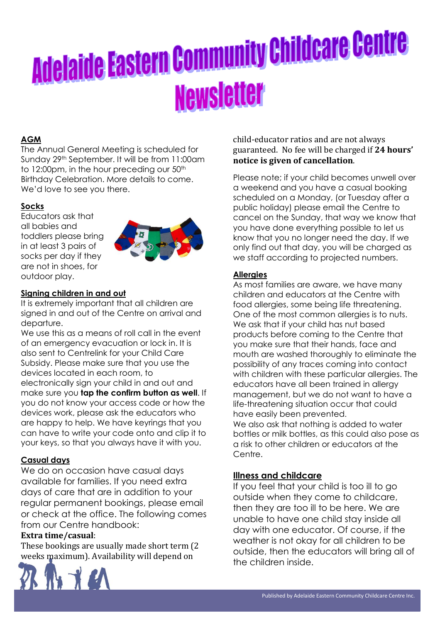### **AGM**

The Annual General Meeting is scheduled for Sunday 29th September. It will be from 11:00am to 12:00pm, in the hour preceding our 50<sup>th</sup> Birthday Celebration. More details to come. We'd love to see you there.

#### **Socks**

Educators ask that all babies and toddlers please bring in at least 3 pairs of socks per day if they are not in shoes, for outdoor play.



#### **Signing children in and out**

It is extremely important that all children are signed in and out of the Centre on arrival and departure.

We use this as a means of roll call in the event of an emergency evacuation or lock in. It is also sent to Centrelink for your Child Care Subsidy. Please make sure that you use the devices located in each room, to electronically sign your child in and out and make sure you **tap the confirm button as well**. If you do not know your access code or how the devices work, please ask the educators who are happy to help. We have keyrings that you can have to write your code onto and clip it to your keys, so that you always have it with you.

#### **Casual days**

We do on occasion have casual days available for families. If you need extra days of care that are in addition to your regular permanent bookings, please email or check at the office. The following comes from our Centre handbook:

#### **Extra time/casual**:

These bookings are usually made short term (2 weeks maximum). Availability will depend on



child-educator ratios and are not always guaranteed. No fee will be charged if **24 hours' notice is given of cancellation**.

Please note; if your child becomes unwell over a weekend and you have a casual booking scheduled on a Monday, (or Tuesday after a public holiday) please email the Centre to cancel on the Sunday, that way we know that you have done everything possible to let us know that you no longer need the day. If we only find out that day, you will be charged as we staff according to projected numbers.

#### **Allergies**

As most families are aware, we have many children and educators at the Centre with food allergies, some being life threatening. One of the most common allergies is to nuts. We ask that if your child has nut based products before coming to the Centre that you make sure that their hands, face and mouth are washed thoroughly to eliminate the possibility of any traces coming into contact with children with these particular allergies. The educators have all been trained in allergy management, but we do not want to have a life-threatening situation occur that could have easily been prevented. We also ask that nothing is added to water

bottles or milk bottles, as this could also pose as a risk to other children or educators at the Centre.

#### **Illness and childcare**

If you feel that your child is too ill to go outside when they come to childcare, then they are too ill to be here. We are unable to have one child stay inside all day with one educator. Of course, if the weather is not okay for all children to be outside, then the educators will bring all of the children inside.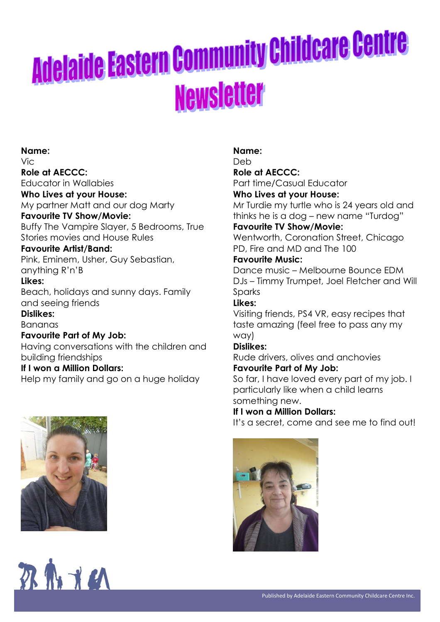**Name:** Vic **Role at AECCC:** Educator in Wallabies **Who Lives at your House:** My partner Matt and our dog Marty **Favourite TV Show/Movie:** Buffy The Vampire Slayer, 5 Bedrooms, True Stories movies and House Rules **Favourite Artist/Band:** Pink, Eminem, Usher, Guy Sebastian, anything R'n'B **Likes:** Beach, holidays and sunny days. Family and seeing friends **Dislikes:** Bananas **Favourite Part of My Job:** Having conversations with the children and building friendships **If I won a Million Dollars:** Help my family and go on a huge holiday





#### **Name:**

Deb

#### **Role at AECCC:**

Part time/Casual Educator **Who Lives at your House:**

Mr Turdie my turtle who is 24 years old and thinks he is a dog – new name "Turdog"

#### **Favourite TV Show/Movie:**

Wentworth, Coronation Street, Chicago PD, Fire and MD and The 100

#### **Favourite Music:**

Dance music – Melbourne Bounce EDM DJs – Timmy Trumpet, Joel Fletcher and Will Sparks

### **Likes:**

Visiting friends, PS4 VR, easy recipes that taste amazing (feel free to pass any my way)

#### **Dislikes:**

Rude drivers, olives and anchovies **Favourite Part of My Job:**

So far, I have loved every part of my job. I particularly like when a child learns something new.

#### **If I won a Million Dollars:**

It's a secret, come and see me to find out!

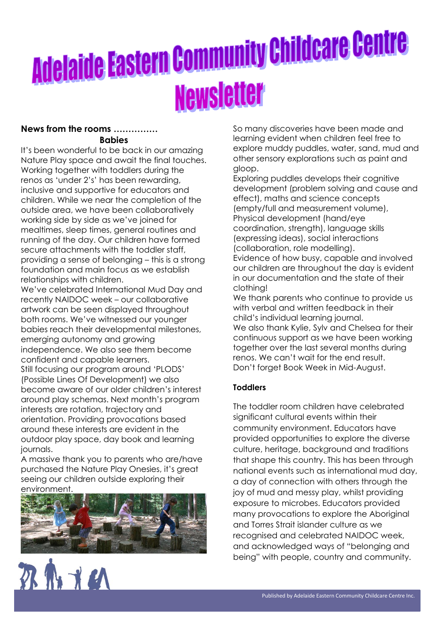#### **News from the rooms …………… Babies**

It's been wonderful to be back in our amazing Nature Play space and await the final touches. Working together with toddlers during the renos as 'under 2's' has been rewarding, inclusive and supportive for educators and children. While we near the completion of the outside area, we have been collaboratively working side by side as we've joined for mealtimes, sleep times, general routines and running of the day. Our children have formed secure attachments with the toddler staff, providing a sense of belonging – this is a strong foundation and main focus as we establish relationships with children.

We've celebrated International Mud Day and recently NAIDOC week – our collaborative artwork can be seen displayed throughout both rooms. We've witnessed our younger babies reach their developmental milestones, emerging autonomy and growing independence. We also see them become confident and capable learners. Still focusing our program around 'PLODS' (Possible Lines Of Development) we also become aware of our older children's interest around play schemas. Next month's program interests are rotation, trajectory and orientation. Providing provocations based around these interests are evident in the outdoor play space, day book and learning journals.

A massive thank you to parents who are/have purchased the Nature Play Onesies, it's great seeing our children outside exploring their environment.



羽爪才的

So many discoveries have been made and learning evident when children feel free to explore muddy puddles, water, sand, mud and other sensory explorations such as paint and gloop.

Exploring puddles develops their cognitive development (problem solving and cause and effect), maths and science concepts (empty/full and measurement volume), Physical development (hand/eye coordination, strength), language skills (expressing ideas), social interactions (collaboration, role modelling).

Evidence of how busy, capable and involved our children are throughout the day is evident in our documentation and the state of their clothing!

We thank parents who continue to provide us with verbal and written feedback in their child's individual learning journal. We also thank Kylie, Sylv and Chelsea for their

continuous support as we have been working together over the last several months during renos. We can't wait for the end result. Don't forget Book Week in Mid-August.

### **Toddlers**

The toddler room children have celebrated significant cultural events within their community environment. Educators have provided opportunities to explore the diverse culture, heritage, background and traditions that shape this country. This has been through national events such as international mud day, a day of connection with others through the joy of mud and messy play, whilst providing exposure to microbes. Educators provided many provocations to explore the Aboriginal and Torres Strait islander culture as we recognised and celebrated NAIDOC week, and acknowledged ways of "belonging and being" with people, country and community.

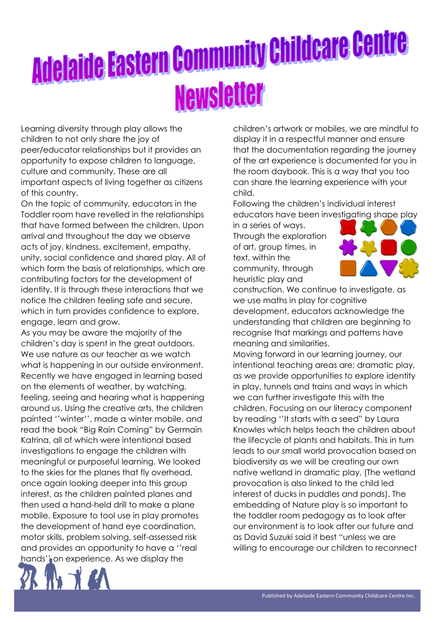Learning diversity through play allows the children to not only share the joy of peer/educator relationships but it provides an opportunity to expose children to language, culture and community. These are all important aspects of living together as citizens of this country.

On the topic of community, educators in the Toddler room have revelled in the relationships that have formed between the children. Upon arrival and throughout the day we observe acts of joy, kindness, excitement, empathy, unity, social confidence and shared play. All of which form the basis of relationships, which are contributing factors for the development of identity. It is through these interactions that we notice the children feeling safe and secure, which in turn provides confidence to explore, engage, learn and grow.

As you may be aware the majority of the children's day is spent in the great outdoors. We use nature as our teacher as we watch what is happening in our outside environment. Recently we have engaged in learning based on the elements of weather, by watching, feeling, seeing and hearing what is happening around us. Using the creative arts, the children painted ''winter'', made a winter mobile, and read the book "Big Rain Coming" by Germain Katrina, all of which were intentional based investigations to engage the children with meaningful or purposeful learning. We looked to the skies for the planes that fly overhead, once again looking deeper into this group interest, as the children painted planes and then used a hand-held drill to make a plane mobile. Exposure to tool use in play promotes the development of hand eye coordination, motor skills, problem solving, self-assessed risk and provides an opportunity to have a ''real hands'' on experience. As we display the

children's artwork or mobiles, we are mindful to display it in a respectful manner and ensure that the documentation regarding the journey of the art experience is documented for you in the room daybook. This is a way that you too can share the learning experience with your child.

Following the children's individual interest educators have been investigating shape play

in a series of ways. Through the exploration of art, group times, in text, within the community, through heuristic play and



construction. We continue to investigate, as we use maths in play for cognitive development, educators acknowledge the understanding that children are beginning to recognise that markings and patterns have meaning and similarities.

Moving forward in our learning journey, our intentional teaching areas are; dramatic play, as we provide opportunities to explore identity in play, tunnels and trains and ways in which we can further investigate this with the children. Focusing on our literacy component by reading ''It starts with a seed" by Laura Knowles which helps teach the children about the lifecycle of plants and habitats. This in turn leads to our small world provocation based on biodiversity as we will be creating our own native wetland in dramatic play. (The wetland provocation is also linked to the child led interest of ducks in puddles and ponds). The embedding of Nature play is so important to the toddler room pedagogy as to look after our environment is to look after our future and as David Suzuki said it best "unless we are willing to encourage our children to reconnect